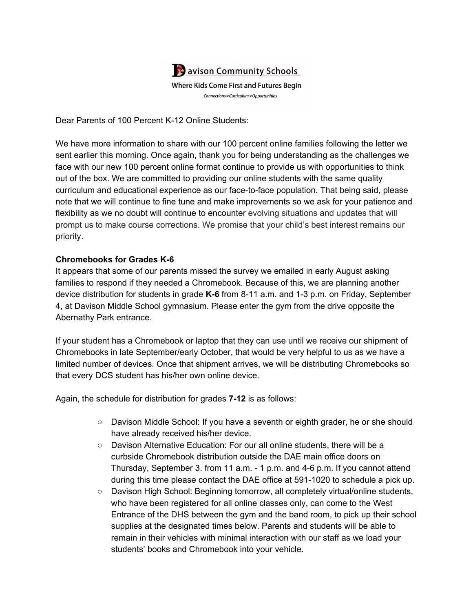

Dear Parents of 100 Percent K-12 Online Students:

We have more information to share with our 100 percent online families following the letter we sent earlier this morning. Once again, thank you for being understanding as the challenges we face with our new 100 percent online format continue to provide us with opportunities to think out of the box. We are committed to providing our online students with the same quality curriculum and educational experience as our face-to-face population. That being said, please note that we will continue to fine tune and make improvements so we ask for your patience and flexibility as we no doubt will continue to encounter evolving situations and updates that will prompt us to make course corrections. We promise that your child's best interest remains our priority.

## **Chromebooks for Grades K-6**

It appears that some of our parents missed the survey we emailed in early August asking families to respond if they needed a Chromebook. Because of this, we are planning another device distribution for students in grade **K-6** from 8-11 a.m. and 1-3 p.m. on Friday, September 4, at Davison Middle School gymnasium. Please enter the gym from the drive opposite the Abernathy Park entrance.

If your student has a Chromebook or laptop that they can use until we receive our shipment of Chromebooks in late September/early October, that would be very helpful to us as we have a limited number of devices. Once that shipment arrives, we will be distributing Chromebooks so that every DCS student has his/her own online device.

Again, the schedule for distribution for grades **7-12** is as follows:

- Davison Middle School: If you have a seventh or eighth grader, he or she should have already received his/her device.
- Davison Alternative Education: For our all online students, there will be a curbside Chromebook distribution outside the DAE main office doors on Thursday, September 3. from 11 a.m. - 1 p.m. and 4-6 p.m. If you cannot attend during this time please contact the DAE office at 591-1020 to schedule a pick up.
- Davison High School: Beginning tomorrow, all completely virtual/online students, who have been registered for all online classes only, can come to the West Entrance of the DHS between the gym and the band room, to pick up their school supplies at the designated times below. Parents and students will be able to remain in their vehicles with minimal interaction with our staff as we load your students' books and Chromebook into your vehicle.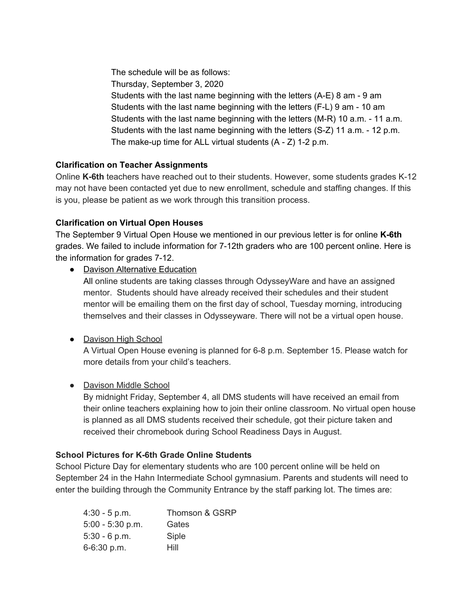The schedule will be as follows: Thursday, September 3, 2020 Students with the last name beginning with the letters (A-E) 8 am - 9 am Students with the last name beginning with the letters (F-L) 9 am - 10 am Students with the last name beginning with the letters (M-R) 10 a.m. - 11 a.m. Students with the last name beginning with the letters (S-Z) 11 a.m. - 12 p.m. The make-up time for ALL virtual students (A - Z) 1-2 p.m.

## **Clarification on Teacher Assignments**

Online **K-6th** teachers have reached out to their students. However, some students grades K-12 may not have been contacted yet due to new enrollment, schedule and staffing changes. If this is you, please be patient as we work through this transition process.

## **Clarification on Virtual Open Houses**

The September 9 Virtual Open House we mentioned in our previous letter is for online **K-6th** grades. We failed to include information for 7-12th graders who are 100 percent online. Here is the information for grades 7-12.

• Davison Alternative Education

All online students are taking classes through OdysseyWare and have an assigned mentor. Students should have already received their schedules and their student mentor will be emailing them on the first day of school, Tuesday morning, introducing themselves and their classes in Odysseyware. There will not be a virtual open house.

# • Davison High School

A Virtual Open House evening is planned for 6-8 p.m. September 15. Please watch for more details from your child's teachers.

● Davison Middle School

By midnight Friday, September 4, all DMS students will have received an email from their online teachers explaining how to join their online classroom. No virtual open house is planned as all DMS students received their schedule, got their picture taken and received their chromebook during School Readiness Days in August.

# **School Pictures for K-6th Grade Online Students**

School Picture Day for elementary students who are 100 percent online will be held on September 24 in the Hahn Intermediate School gymnasium. Parents and students will need to enter the building through the Community Entrance by the staff parking lot. The times are:

| $4:30 - 5 p.m.$    | Thomson & GSRP |
|--------------------|----------------|
| $5:00 - 5:30$ p.m. | Gates          |
| $5:30 - 6 p.m.$    | Siple          |
| $6 - 6:30$ p.m.    | Hill           |